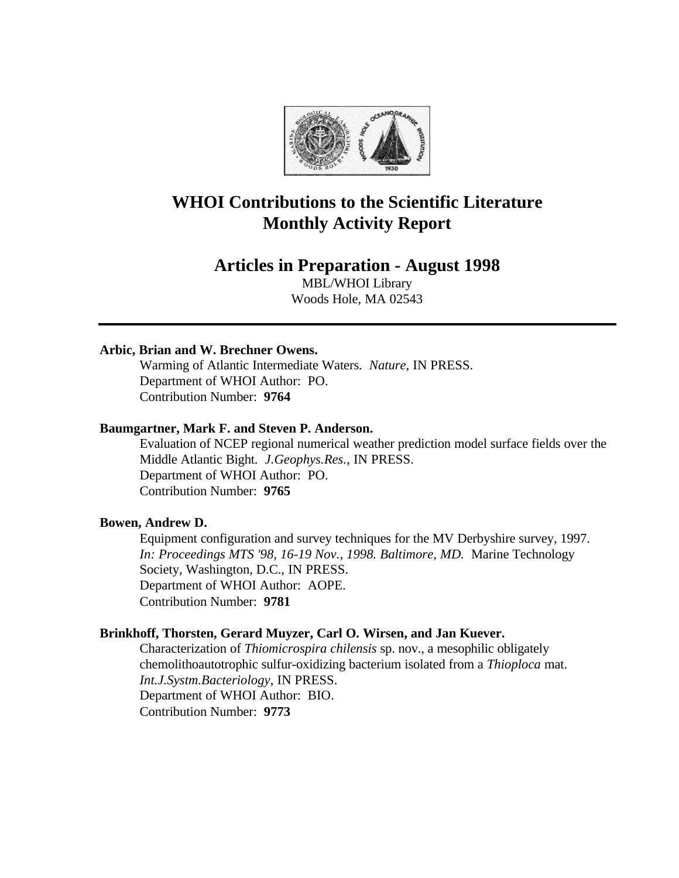

# **WHOI Contributions to the Scientific Literature Monthly Activity Report**

# **Articles in Preparation - August 1998**

MBL/WHOI Library Woods Hole, MA 02543

## **Arbic, Brian and W. Brechner Owens.**

Warming of Atlantic Intermediate Waters. *Nature*, IN PRESS. Department of WHOI Author: PO. Contribution Number: **9764**

# **Baumgartner, Mark F. and Steven P. Anderson.**

Evaluation of NCEP regional numerical weather prediction model surface fields over the Middle Atlantic Bight. *J.Geophys.Res.*, IN PRESS. Department of WHOI Author: PO. Contribution Number: **9765**

# **Bowen, Andrew D.**

Equipment configuration and survey techniques for the MV Derbyshire survey, 1997. *In: Proceedings MTS '98, 16-19 Nov., 1998. Baltimore, MD.* Marine Technology Society, Washington, D.C., IN PRESS. Department of WHOI Author: AOPE. Contribution Number: **9781**

### **Brinkhoff, Thorsten, Gerard Muyzer, Carl O. Wirsen, and Jan Kuever.**

Characterization of *Thiomicrospira chilensis* sp. nov., a mesophilic obligately chemolithoautotrophic sulfur-oxidizing bacterium isolated from a *Thioploca* mat. *Int.J.Systm.Bacteriology*, IN PRESS. Department of WHOI Author: BIO. Contribution Number: **9773**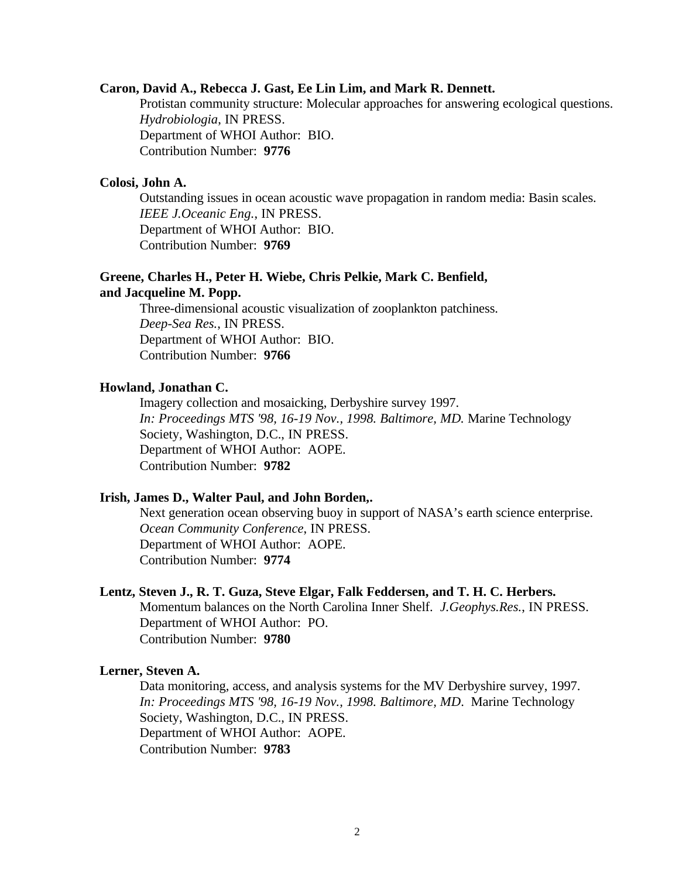#### **Caron, David A., Rebecca J. Gast, Ee Lin Lim, and Mark R. Dennett.**

Protistan community structure: Molecular approaches for answering ecological questions. *Hydrobiologia*, IN PRESS. Department of WHOI Author: BIO. Contribution Number: **9776**

### **Colosi, John A.**

Outstanding issues in ocean acoustic wave propagation in random media: Basin scales. *IEEE J.Oceanic Eng.*, IN PRESS. Department of WHOI Author: BIO. Contribution Number: **9769**

# **Greene, Charles H., Peter H. Wiebe, Chris Pelkie, Mark C. Benfield,**

# **and Jacqueline M. Popp.**

Three-dimensional acoustic visualization of zooplankton patchiness. *Deep-Sea Res.*, IN PRESS. Department of WHOI Author: BIO. Contribution Number: **9766**

### **Howland, Jonathan C.**

Imagery collection and mosaicking, Derbyshire survey 1997. *In: Proceedings MTS '98, 16-19 Nov., 1998. Baltimore, MD.* Marine Technology Society, Washington, D.C., IN PRESS. Department of WHOI Author: AOPE. Contribution Number: **9782**

### **Irish, James D., Walter Paul, and John Borden,.**

Next generation ocean observing buoy in support of NASA's earth science enterprise. *Ocean Community Conference*, IN PRESS. Department of WHOI Author: AOPE. Contribution Number: **9774**

#### **Lentz, Steven J., R. T. Guza, Steve Elgar, Falk Feddersen, and T. H. C. Herbers.**

Momentum balances on the North Carolina Inner Shelf. *J.Geophys.Res.*, IN PRESS. Department of WHOI Author: PO. Contribution Number: **9780**

#### **Lerner, Steven A.**

Data monitoring, access, and analysis systems for the MV Derbyshire survey, 1997. *In: Proceedings MTS '98, 16-19 Nov., 1998. Baltimore, MD*. Marine Technology Society, Washington, D.C., IN PRESS. Department of WHOI Author: AOPE. Contribution Number: **9783**